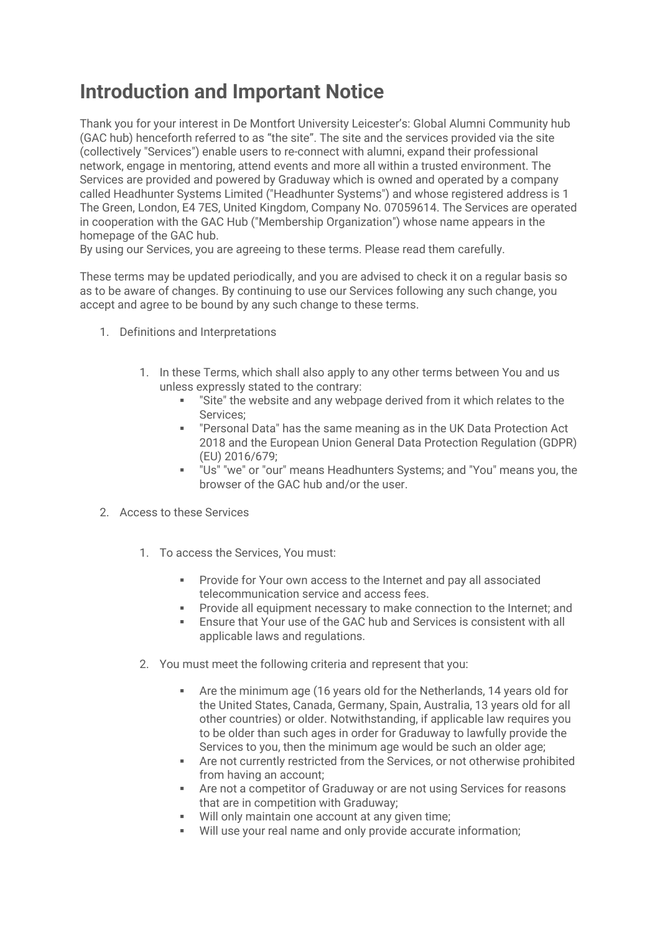# **Introduction and Important Notice**

Thank you for your interest in De Montfort University Leicester's: Global Alumni Community hub (GAC hub) henceforth referred to as "the site". The site and the services provided via the site (collectively "Services") enable users to re-connect with alumni, expand their professional network, engage in mentoring, attend events and more all within a trusted environment. The Services are provided and powered by Graduway which is owned and operated by a company called Headhunter Systems Limited ("Headhunter Systems") and whose registered address is 1 The Green, London, E4 7ES, United Kingdom, Company No. 07059614. The Services are operated in cooperation with the GAC Hub ("Membership Organization") whose name appears in the homepage of the GAC hub.

By using our Services, you are agreeing to these terms. Please read them carefully.

These terms may be updated periodically, and you are advised to check it on a regular basis so as to be aware of changes. By continuing to use our Services following any such change, you accept and agree to be bound by any such change to these terms.

- 1. Definitions and Interpretations
	- 1. In these Terms, which shall also apply to any other terms between You and us unless expressly stated to the contrary:
		- "Site" the website and any webpage derived from it which relates to the Services;
		- "Personal Data" has the same meaning as in the UK Data Protection Act 2018 and the European Union General Data Protection Regulation (GDPR) (EU) 2016/679;
		- "Us" "we" or "our" means Headhunters Systems; and "You" means you, the browser of the GAC hub and/or the user.
- 2. Access to these Services
	- 1. To access the Services, You must:
		- **Provide for Your own access to the Internet and pay all associated** telecommunication service and access fees.
		- **Provide all equipment necessary to make connection to the Internet; and**
		- Ensure that Your use of the GAC hub and Services is consistent with all applicable laws and regulations.
	- 2. You must meet the following criteria and represent that you:
		- Are the minimum age (16 years old for the Netherlands, 14 years old for the United States, Canada, Germany, Spain, Australia, 13 years old for all other countries) or older. Notwithstanding, if applicable law requires you to be older than such ages in order for Graduway to lawfully provide the Services to you, then the minimum age would be such an older age;
		- Are not currently restricted from the Services, or not otherwise prohibited from having an account;
		- Are not a competitor of Graduway or are not using Services for reasons that are in competition with Graduway;
		- Will only maintain one account at any given time;
		- Will use your real name and only provide accurate information;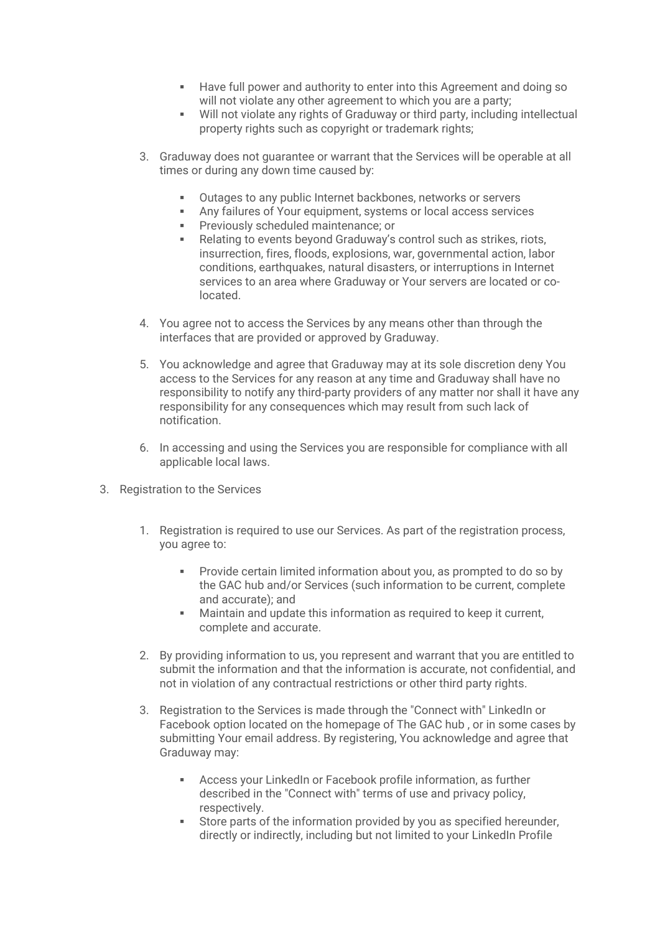- Have full power and authority to enter into this Agreement and doing so will not violate any other agreement to which you are a party;
- Will not violate any rights of Graduway or third party, including intellectual property rights such as copyright or trademark rights;
- 3. Graduway does not guarantee or warrant that the Services will be operable at all times or during any down time caused by:
	- Outages to any public Internet backbones, networks or servers
	- Any failures of Your equipment, systems or local access services
	- **Previously scheduled maintenance; or**
	- Relating to events beyond Graduway's control such as strikes, riots, insurrection, fires, floods, explosions, war, governmental action, labor conditions, earthquakes, natural disasters, or interruptions in Internet services to an area where Graduway or Your servers are located or colocated.
- 4. You agree not to access the Services by any means other than through the interfaces that are provided or approved by Graduway.
- 5. You acknowledge and agree that Graduway may at its sole discretion deny You access to the Services for any reason at any time and Graduway shall have no responsibility to notify any third-party providers of any matter nor shall it have any responsibility for any consequences which may result from such lack of notification.
- 6. In accessing and using the Services you are responsible for compliance with all applicable local laws.
- 3. Registration to the Services
	- 1. Registration is required to use our Services. As part of the registration process, you agree to:
		- Provide certain limited information about you, as prompted to do so by the GAC hub and/or Services (such information to be current, complete and accurate); and
		- **EXECT** Maintain and update this information as required to keep it current, complete and accurate.
	- 2. By providing information to us, you represent and warrant that you are entitled to submit the information and that the information is accurate, not confidential, and not in violation of any contractual restrictions or other third party rights.
	- 3. Registration to the Services is made through the "Connect with" LinkedIn or Facebook option located on the homepage of The GAC hub , or in some cases by submitting Your email address. By registering, You acknowledge and agree that Graduway may:
		- Access your LinkedIn or Facebook profile information, as further described in the "Connect with" terms of use and privacy policy, respectively.
		- Store parts of the information provided by you as specified hereunder, directly or indirectly, including but not limited to your LinkedIn Profile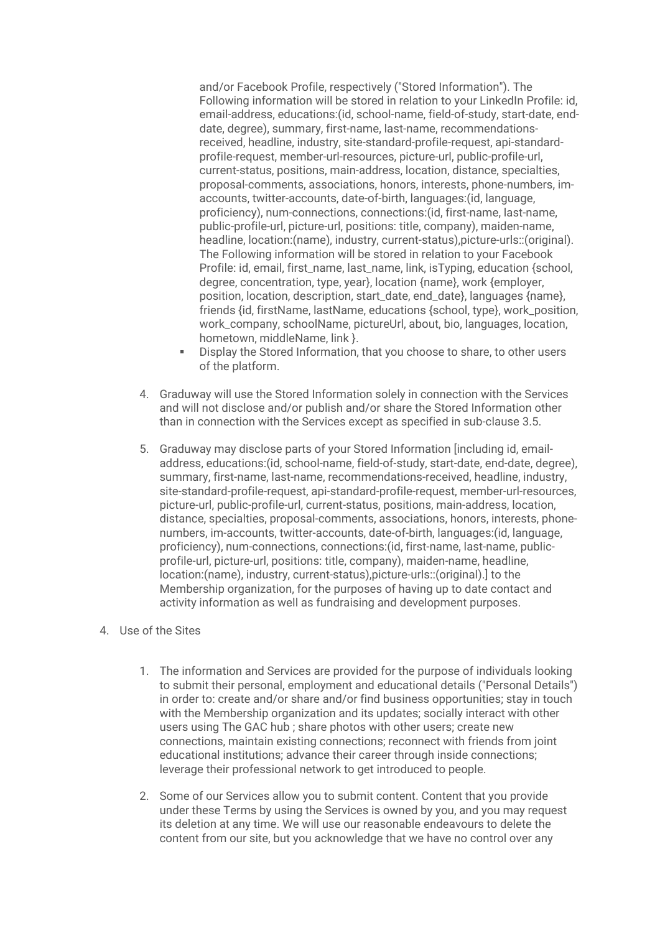and/or Facebook Profile, respectively ("Stored Information"). The Following information will be stored in relation to your LinkedIn Profile: id, email-address, educations:(id, school-name, field-of-study, start-date, enddate, degree), summary, first-name, last-name, recommendationsreceived, headline, industry, site-standard-profile-request, api-standardprofile-request, member-url-resources, picture-url, public-profile-url, current-status, positions, main-address, location, distance, specialties, proposal-comments, associations, honors, interests, phone-numbers, imaccounts, twitter-accounts, date-of-birth, languages:(id, language, proficiency), num-connections, connections:(id, first-name, last-name, public-profile-url, picture-url, positions: title, company), maiden-name, headline, location:(name), industry, current-status),picture-urls::(original). The Following information will be stored in relation to your Facebook Profile: id, email, first\_name, last\_name, link, isTyping, education {school, degree, concentration, type, year}, location {name}, work {employer, position, location, description, start\_date, end\_date}, languages {name}, friends {id, firstName, lastName, educations {school, type}, work\_position, work\_company, schoolName, pictureUrl, about, bio, languages, location, hometown, middleName, link }.

- Display the Stored Information, that you choose to share, to other users of the platform.
- 4. Graduway will use the Stored Information solely in connection with the Services and will not disclose and/or publish and/or share the Stored Information other than in connection with the Services except as specified in sub-clause 3.5.
- 5. Graduway may disclose parts of your Stored Information [including id, emailaddress, educations:(id, school-name, field-of-study, start-date, end-date, degree), summary, first-name, last-name, recommendations-received, headline, industry, site-standard-profile-request, api-standard-profile-request, member-url-resources, picture-url, public-profile-url, current-status, positions, main-address, location, distance, specialties, proposal-comments, associations, honors, interests, phonenumbers, im-accounts, twitter-accounts, date-of-birth, languages:(id, language, proficiency), num-connections, connections:(id, first-name, last-name, publicprofile-url, picture-url, positions: title, company), maiden-name, headline, location:(name), industry, current-status),picture-urls::(original).] to the Membership organization, for the purposes of having up to date contact and activity information as well as fundraising and development purposes.

#### 4. Use of the Sites

- 1. The information and Services are provided for the purpose of individuals looking to submit their personal, employment and educational details ("Personal Details") in order to: create and/or share and/or find business opportunities; stay in touch with the Membership organization and its updates; socially interact with other users using The GAC hub ; share photos with other users; create new connections, maintain existing connections; reconnect with friends from joint educational institutions; advance their career through inside connections; leverage their professional network to get introduced to people.
- 2. Some of our Services allow you to submit content. Content that you provide under these Terms by using the Services is owned by you, and you may request its deletion at any time. We will use our reasonable endeavours to delete the content from our site, but you acknowledge that we have no control over any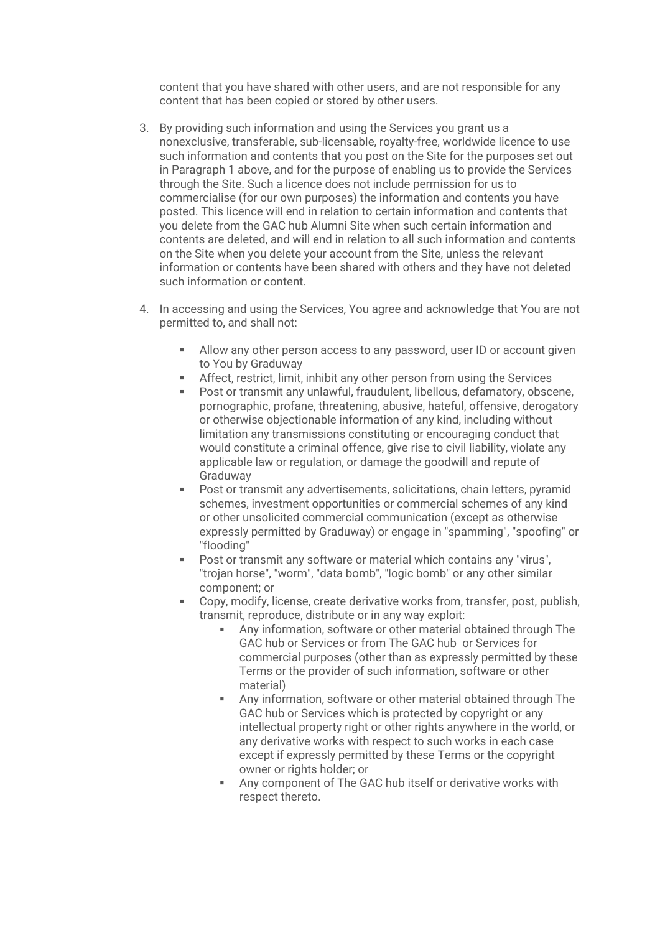content that you have shared with other users, and are not responsible for any content that has been copied or stored by other users.

- 3. By providing such information and using the Services you grant us a nonexclusive, transferable, sub-licensable, royalty-free, worldwide licence to use such information and contents that you post on the Site for the purposes set out in Paragraph 1 above, and for the purpose of enabling us to provide the Services through the Site. Such a licence does not include permission for us to commercialise (for our own purposes) the information and contents you have posted. This licence will end in relation to certain information and contents that you delete from the GAC hub Alumni Site when such certain information and contents are deleted, and will end in relation to all such information and contents on the Site when you delete your account from the Site, unless the relevant information or contents have been shared with others and they have not deleted such information or content.
- 4. In accessing and using the Services, You agree and acknowledge that You are not permitted to, and shall not:
	- Allow any other person access to any password, user ID or account given to You by Graduway
	- Affect, restrict, limit, inhibit any other person from using the Services
	- Post or transmit any unlawful, fraudulent, libellous, defamatory, obscene, pornographic, profane, threatening, abusive, hateful, offensive, derogatory or otherwise objectionable information of any kind, including without limitation any transmissions constituting or encouraging conduct that would constitute a criminal offence, give rise to civil liability, violate any applicable law or regulation, or damage the goodwill and repute of Graduway
	- Post or transmit any advertisements, solicitations, chain letters, pyramid schemes, investment opportunities or commercial schemes of any kind or other unsolicited commercial communication (except as otherwise expressly permitted by Graduway) or engage in "spamming", "spoofing" or "flooding"
	- Post or transmit any software or material which contains any "virus", "trojan horse", "worm", "data bomb", "logic bomb" or any other similar component; or
	- Copy, modify, license, create derivative works from, transfer, post, publish, transmit, reproduce, distribute or in any way exploit:
		- Any information, software or other material obtained through The GAC hub or Services or from The GAC hub or Services for commercial purposes (other than as expressly permitted by these Terms or the provider of such information, software or other material)
		- Any information, software or other material obtained through The GAC hub or Services which is protected by copyright or any intellectual property right or other rights anywhere in the world, or any derivative works with respect to such works in each case except if expressly permitted by these Terms or the copyright owner or rights holder; or
		- Any component of The GAC hub itself or derivative works with respect thereto.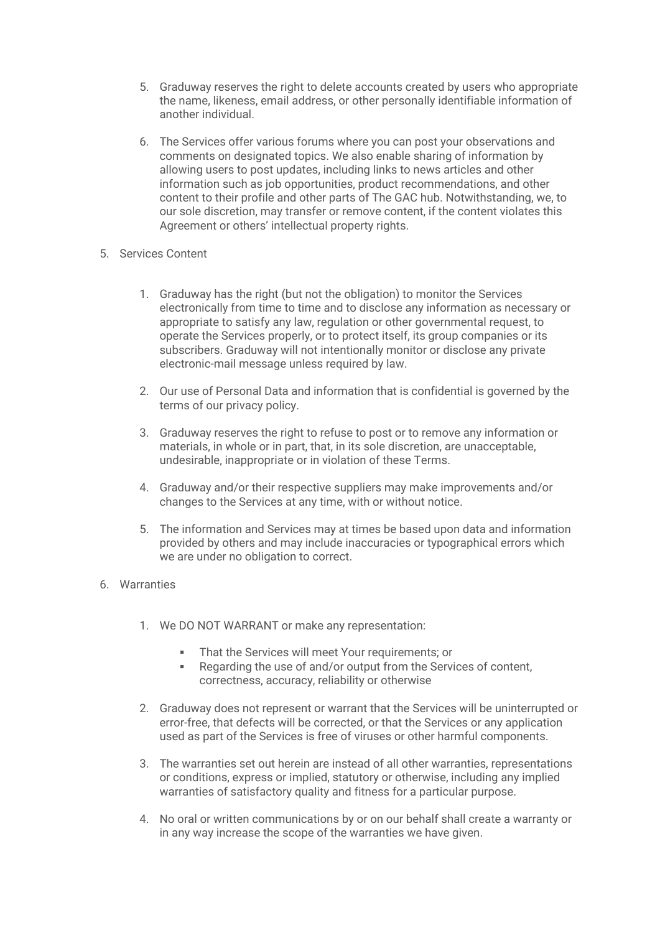- 5. Graduway reserves the right to delete accounts created by users who appropriate the name, likeness, email address, or other personally identifiable information of another individual.
- 6. The Services offer various forums where you can post your observations and comments on designated topics. We also enable sharing of information by allowing users to post updates, including links to news articles and other information such as job opportunities, product recommendations, and other content to their profile and other parts of The GAC hub. Notwithstanding, we, to our sole discretion, may transfer or remove content, if the content violates this Agreement or others' intellectual property rights.
- 5. Services Content
	- 1. Graduway has the right (but not the obligation) to monitor the Services electronically from time to time and to disclose any information as necessary or appropriate to satisfy any law, regulation or other governmental request, to operate the Services properly, or to protect itself, its group companies or its subscribers. Graduway will not intentionally monitor or disclose any private electronic-mail message unless required by law.
	- 2. Our use of Personal Data and information that is confidential is governed by the terms of our privacy policy.
	- 3. Graduway reserves the right to refuse to post or to remove any information or materials, in whole or in part, that, in its sole discretion, are unacceptable, undesirable, inappropriate or in violation of these Terms.
	- 4. Graduway and/or their respective suppliers may make improvements and/or changes to the Services at any time, with or without notice.
	- 5. The information and Services may at times be based upon data and information provided by others and may include inaccuracies or typographical errors which we are under no obligation to correct.
- 6. Warranties
	- 1. We DO NOT WARRANT or make any representation:
		- **That the Services will meet Your requirements; or**
		- Regarding the use of and/or output from the Services of content, correctness, accuracy, reliability or otherwise
	- 2. Graduway does not represent or warrant that the Services will be uninterrupted or error-free, that defects will be corrected, or that the Services or any application used as part of the Services is free of viruses or other harmful components.
	- 3. The warranties set out herein are instead of all other warranties, representations or conditions, express or implied, statutory or otherwise, including any implied warranties of satisfactory quality and fitness for a particular purpose.
	- 4. No oral or written communications by or on our behalf shall create a warranty or in any way increase the scope of the warranties we have given.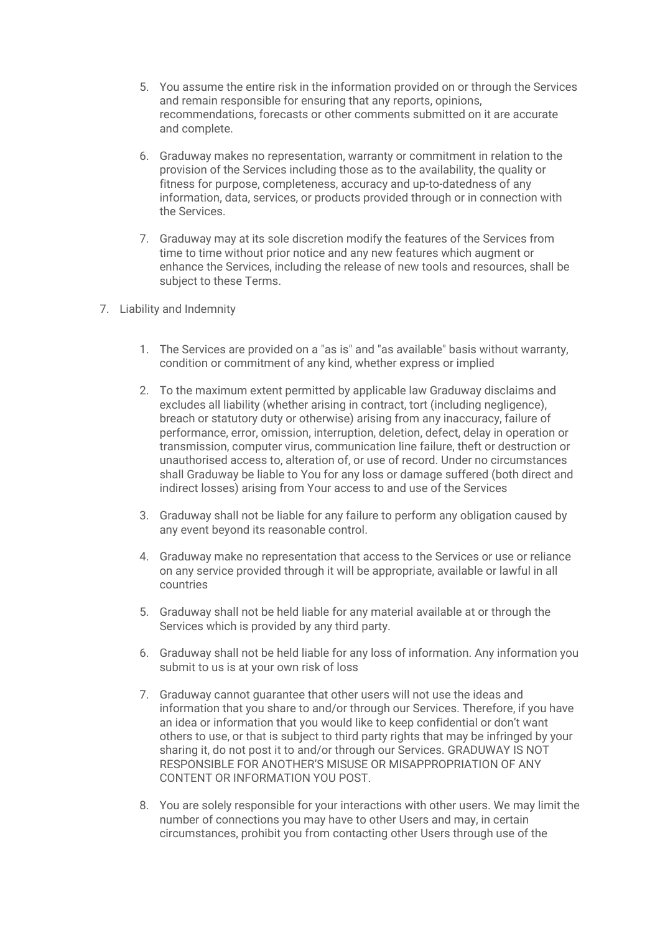- 5. You assume the entire risk in the information provided on or through the Services and remain responsible for ensuring that any reports, opinions, recommendations, forecasts or other comments submitted on it are accurate and complete.
- 6. Graduway makes no representation, warranty or commitment in relation to the provision of the Services including those as to the availability, the quality or fitness for purpose, completeness, accuracy and up-to-datedness of any information, data, services, or products provided through or in connection with the Services.
- 7. Graduway may at its sole discretion modify the features of the Services from time to time without prior notice and any new features which augment or enhance the Services, including the release of new tools and resources, shall be subject to these Terms.
- 7. Liability and Indemnity
	- 1. The Services are provided on a "as is" and "as available" basis without warranty, condition or commitment of any kind, whether express or implied
	- 2. To the maximum extent permitted by applicable law Graduway disclaims and excludes all liability (whether arising in contract, tort (including negligence), breach or statutory duty or otherwise) arising from any inaccuracy, failure of performance, error, omission, interruption, deletion, defect, delay in operation or transmission, computer virus, communication line failure, theft or destruction or unauthorised access to, alteration of, or use of record. Under no circumstances shall Graduway be liable to You for any loss or damage suffered (both direct and indirect losses) arising from Your access to and use of the Services
	- 3. Graduway shall not be liable for any failure to perform any obligation caused by any event beyond its reasonable control.
	- 4. Graduway make no representation that access to the Services or use or reliance on any service provided through it will be appropriate, available or lawful in all countries
	- 5. Graduway shall not be held liable for any material available at or through the Services which is provided by any third party.
	- 6. Graduway shall not be held liable for any loss of information. Any information you submit to us is at your own risk of loss
	- 7. Graduway cannot guarantee that other users will not use the ideas and information that you share to and/or through our Services. Therefore, if you have an idea or information that you would like to keep confidential or don't want others to use, or that is subject to third party rights that may be infringed by your sharing it, do not post it to and/or through our Services. GRADUWAY IS NOT RESPONSIBLE FOR ANOTHER'S MISUSE OR MISAPPROPRIATION OF ANY CONTENT OR INFORMATION YOU POST.
	- 8. You are solely responsible for your interactions with other users. We may limit the number of connections you may have to other Users and may, in certain circumstances, prohibit you from contacting other Users through use of the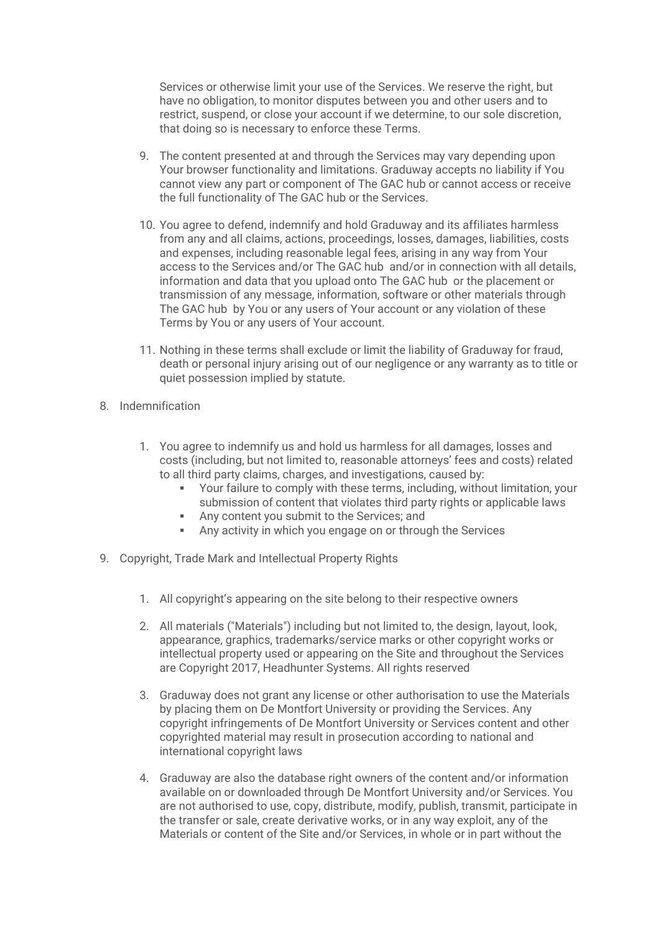Services or otherwise limit your use of the Services. We reserve the right, but have no obligation, to monitor disputes between you and other users and to restrict, suspend, or close your account if we determine, to our sole discretion, that doing so is necessary to enforce these Terms.

- 9. The content presented at and through the Services may vary depending upon Your browser functionality and limitations. Graduway accepts no liability if You cannot view any part or component of The GAC hub or cannot access or receive the full functionality of The GAC hub or the Services.
- 10. You agree to defend, indemnify and hold Graduway and its affiliates harmless from any and all claims, actions, proceedings, losses, damages, liabilities, costs and expenses, including reasonable legal fees, arising in any way from Your access to the Services and/or The GAC hub and/or in connection with all details, information and data that you upload onto The GAC hub or the placement or transmission of any message, information, software or other materials through The GAC hub by You or any users of Your account or any violation of these Terms by You or any users of Your account.
- 11. Nothing in these terms shall exclude or limit the liability of Graduway for fraud, death or personal injury arising out of our negligence or any warranty as to title or quiet possession implied by statute.
- 8. Indemnification
	- 1. You agree to indemnify us and hold us harmless for all damages, losses and costs (including, but not limited to, reasonable attorneys' fees and costs) related to all third party claims, charges, and investigations, caused by:
		- Your failure to comply with these terms, including, without limitation, your submission of content that violates third party rights or applicable laws
		- Any content you submit to the Services; and
		- Any activity in which you engage on or through the Services
- 9. Copyright, Trade Mark and Intellectual Property Rights
	- 1. All copyright's appearing on the site belong to their respective owners
	- 2. All materials ("Materials") including but not limited to, the design, layout, look, appearance, graphics, trademarks/service marks or other copyright works or intellectual property used or appearing on the Site and throughout the Services are Copyright 2017, Headhunter Systems. All rights reserved
	- 3. Graduway does not grant any license or other authorisation to use the Materials by placing them on De Montfort University or providing the Services. Any copyright infringements of De Montfort University or Services content and other copyrighted material may result in prosecution according to national and international copyright laws
	- 4. Graduway are also the database right owners of the content and/or information available on or downloaded through De Montfort University and/or Services. You are not authorised to use, copy, distribute, modify, publish, transmit, participate in the transfer or sale, create derivative works, or in any way exploit, any of the Materials or content of the Site and/or Services, in whole or in part without the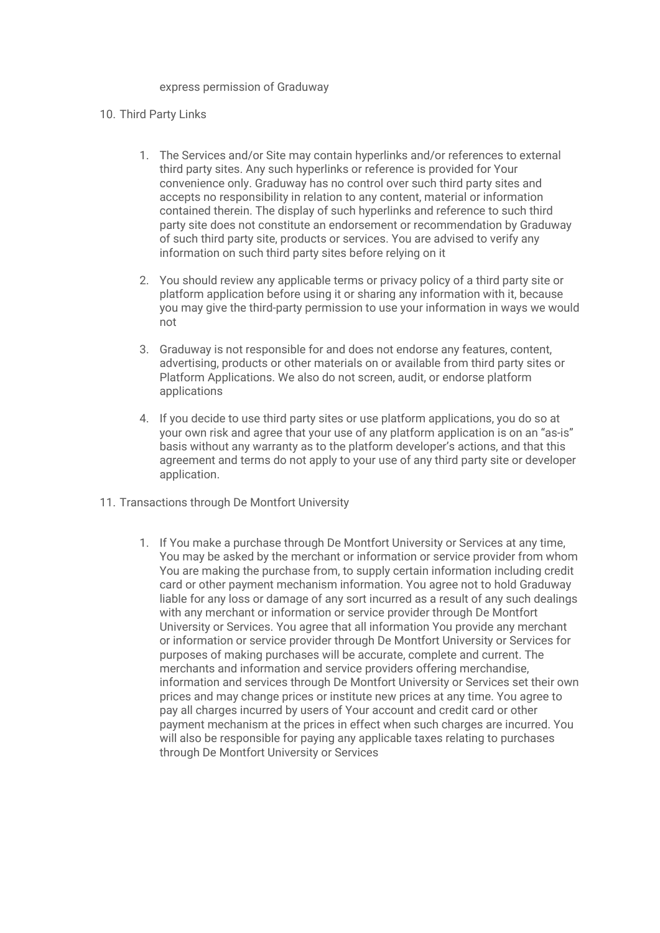#### express permission of Graduway

#### 10. Third Party Links

- 1. The Services and/or Site may contain hyperlinks and/or references to external third party sites. Any such hyperlinks or reference is provided for Your convenience only. Graduway has no control over such third party sites and accepts no responsibility in relation to any content, material or information contained therein. The display of such hyperlinks and reference to such third party site does not constitute an endorsement or recommendation by Graduway of such third party site, products or services. You are advised to verify any information on such third party sites before relying on it
- 2. You should review any applicable terms or privacy policy of a third party site or platform application before using it or sharing any information with it, because you may give the third-party permission to use your information in ways we would not
- 3. Graduway is not responsible for and does not endorse any features, content, advertising, products or other materials on or available from third party sites or Platform Applications. We also do not screen, audit, or endorse platform applications
- 4. If you decide to use third party sites or use platform applications, you do so at your own risk and agree that your use of any platform application is on an "as-is" basis without any warranty as to the platform developer's actions, and that this agreement and terms do not apply to your use of any third party site or developer application.
- 11. Transactions through De Montfort University
	- 1. If You make a purchase through De Montfort University or Services at any time, You may be asked by the merchant or information or service provider from whom You are making the purchase from, to supply certain information including credit card or other payment mechanism information. You agree not to hold Graduway liable for any loss or damage of any sort incurred as a result of any such dealings with any merchant or information or service provider through De Montfort University or Services. You agree that all information You provide any merchant or information or service provider through De Montfort University or Services for purposes of making purchases will be accurate, complete and current. The merchants and information and service providers offering merchandise, information and services through De Montfort University or Services set their own prices and may change prices or institute new prices at any time. You agree to pay all charges incurred by users of Your account and credit card or other payment mechanism at the prices in effect when such charges are incurred. You will also be responsible for paying any applicable taxes relating to purchases through De Montfort University or Services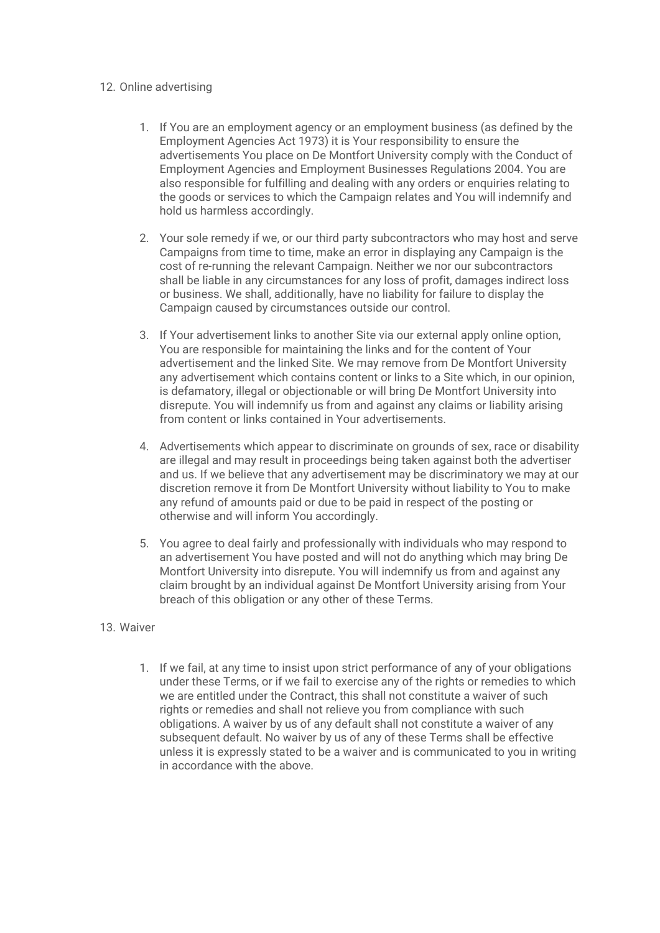## 12. Online advertising

- 1. If You are an employment agency or an employment business (as defined by the Employment Agencies Act 1973) it is Your responsibility to ensure the advertisements You place on De Montfort University comply with the Conduct of Employment Agencies and Employment Businesses Regulations 2004. You are also responsible for fulfilling and dealing with any orders or enquiries relating to the goods or services to which the Campaign relates and You will indemnify and hold us harmless accordingly.
- 2. Your sole remedy if we, or our third party subcontractors who may host and serve Campaigns from time to time, make an error in displaying any Campaign is the cost of re-running the relevant Campaign. Neither we nor our subcontractors shall be liable in any circumstances for any loss of profit, damages indirect loss or business. We shall, additionally, have no liability for failure to display the Campaign caused by circumstances outside our control.
- 3. If Your advertisement links to another Site via our external apply online option, You are responsible for maintaining the links and for the content of Your advertisement and the linked Site. We may remove from De Montfort University any advertisement which contains content or links to a Site which, in our opinion, is defamatory, illegal or objectionable or will bring De Montfort University into disrepute. You will indemnify us from and against any claims or liability arising from content or links contained in Your advertisements.
- 4. Advertisements which appear to discriminate on grounds of sex, race or disability are illegal and may result in proceedings being taken against both the advertiser and us. If we believe that any advertisement may be discriminatory we may at our discretion remove it from De Montfort University without liability to You to make any refund of amounts paid or due to be paid in respect of the posting or otherwise and will inform You accordingly.
- 5. You agree to deal fairly and professionally with individuals who may respond to an advertisement You have posted and will not do anything which may bring De Montfort University into disrepute. You will indemnify us from and against any claim brought by an individual against De Montfort University arising from Your breach of this obligation or any other of these Terms.

# 13. Waiver

1. If we fail, at any time to insist upon strict performance of any of your obligations under these Terms, or if we fail to exercise any of the rights or remedies to which we are entitled under the Contract, this shall not constitute a waiver of such rights or remedies and shall not relieve you from compliance with such obligations. A waiver by us of any default shall not constitute a waiver of any subsequent default. No waiver by us of any of these Terms shall be effective unless it is expressly stated to be a waiver and is communicated to you in writing in accordance with the above.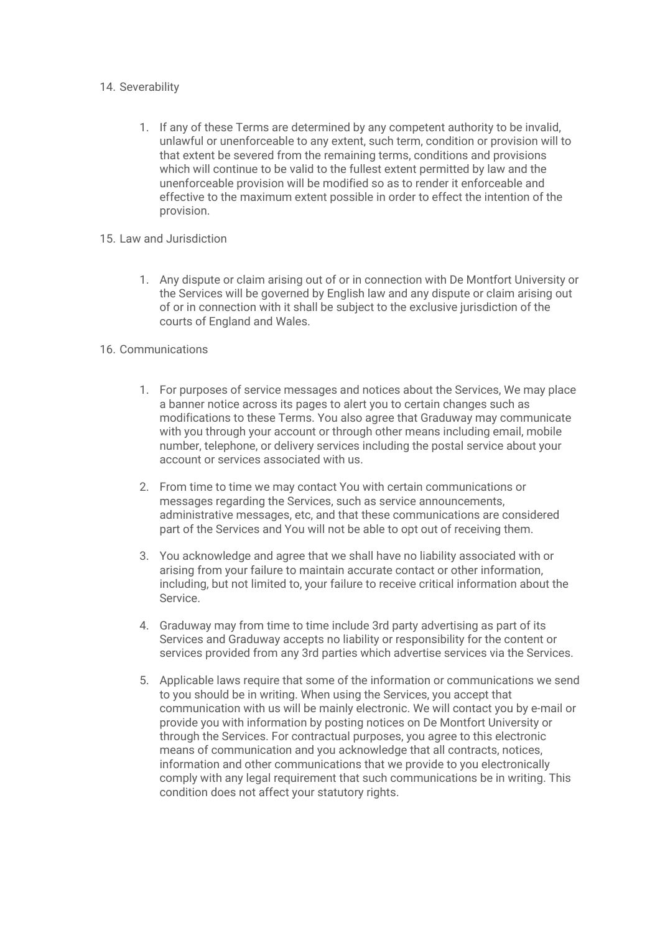## 14. Severability

- 1. If any of these Terms are determined by any competent authority to be invalid, unlawful or unenforceable to any extent, such term, condition or provision will to that extent be severed from the remaining terms, conditions and provisions which will continue to be valid to the fullest extent permitted by law and the unenforceable provision will be modified so as to render it enforceable and effective to the maximum extent possible in order to effect the intention of the provision.
- 15. Law and Jurisdiction
	- 1. Any dispute or claim arising out of or in connection with De Montfort University or the Services will be governed by English law and any dispute or claim arising out of or in connection with it shall be subject to the exclusive jurisdiction of the courts of England and Wales.

## 16. Communications

- 1. For purposes of service messages and notices about the Services, We may place a banner notice across its pages to alert you to certain changes such as modifications to these Terms. You also agree that Graduway may communicate with you through your account or through other means including email, mobile number, telephone, or delivery services including the postal service about your account or services associated with us.
- 2. From time to time we may contact You with certain communications or messages regarding the Services, such as service announcements, administrative messages, etc, and that these communications are considered part of the Services and You will not be able to opt out of receiving them.
- 3. You acknowledge and agree that we shall have no liability associated with or arising from your failure to maintain accurate contact or other information, including, but not limited to, your failure to receive critical information about the Service.
- 4. Graduway may from time to time include 3rd party advertising as part of its Services and Graduway accepts no liability or responsibility for the content or services provided from any 3rd parties which advertise services via the Services.
- 5. Applicable laws require that some of the information or communications we send to you should be in writing. When using the Services, you accept that communication with us will be mainly electronic. We will contact you by e-mail or provide you with information by posting notices on De Montfort University or through the Services. For contractual purposes, you agree to this electronic means of communication and you acknowledge that all contracts, notices, information and other communications that we provide to you electronically comply with any legal requirement that such communications be in writing. This condition does not affect your statutory rights.